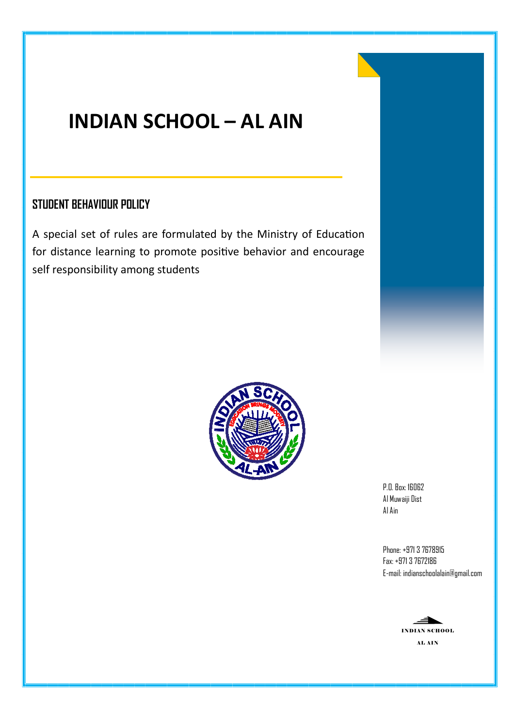## **INDIAN SCHOOL – AL AIN**

## **STUDENT BEHAVIOUR POLICY**

A special set of rules are formulated by the Ministry of Education for distance learning to promote positive behavior and encourage self responsibility among students



P.O. Box: 16062 Al Muwaiji Dist Al Ain

Phone: +971 3 7678915 Fax: +971 3 7672186 E-mail: indianschoolalain@gmail.com